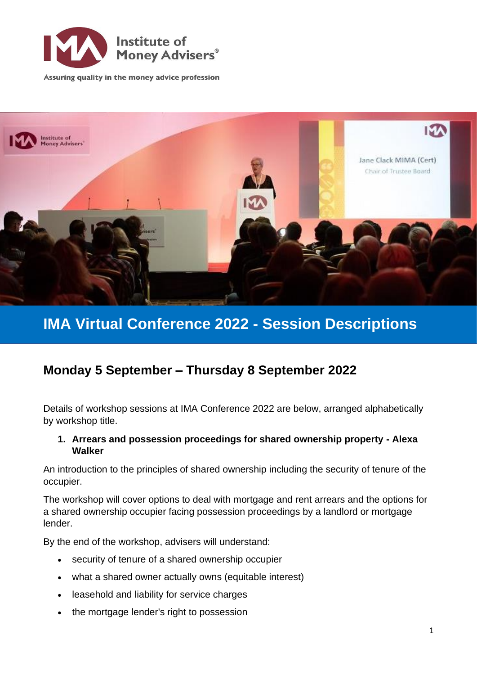

Assuring quality in the money advice profession



# **IMA Virtual Conference 2022 - Session Descriptions**

# **Monday 5 September – Thursday 8 September 2022**

Details of workshop sessions at IMA Conference 2022 are below, arranged alphabetically by workshop title.

#### **1. Arrears and possession proceedings for shared ownership property - Alexa Walker**

An introduction to the principles of shared ownership including the security of tenure of the occupier.

The workshop will cover options to deal with mortgage and rent arrears and the options for a shared ownership occupier facing possession proceedings by a landlord or mortgage lender.

By the end of the workshop, advisers will understand:

- security of tenure of a shared ownership occupier
- what a shared owner actually owns (equitable interest)
- leasehold and liability for service charges
- the mortgage lender's right to possession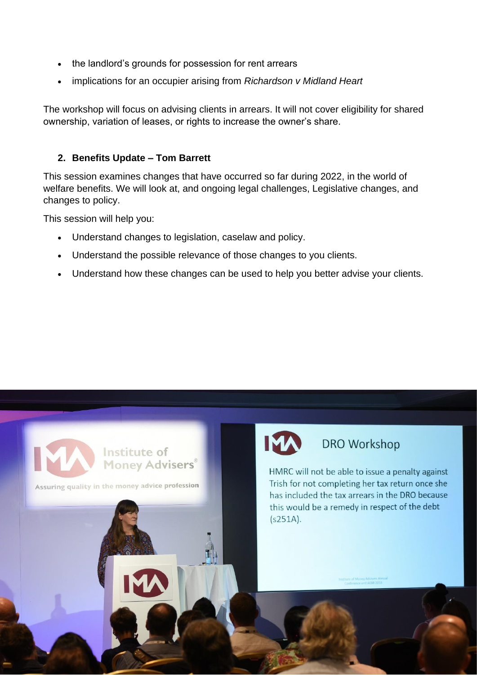- the landlord's grounds for possession for rent arrears
- implications for an occupier arising from *Richardson v Midland Heart*

The workshop will focus on advising clients in arrears. It will not cover eligibility for shared ownership, variation of leases, or rights to increase the owner's share.

#### **2. Benefits Update – Tom Barrett**

This session examines changes that have occurred so far during 2022, in the world of welfare benefits. We will look at, and ongoing legal challenges, Legislative changes, and changes to policy.

This session will help you:

- Understand changes to legislation, caselaw and policy.
- Understand the possible relevance of those changes to you clients.
- Understand how these changes can be used to help you better advise your clients.

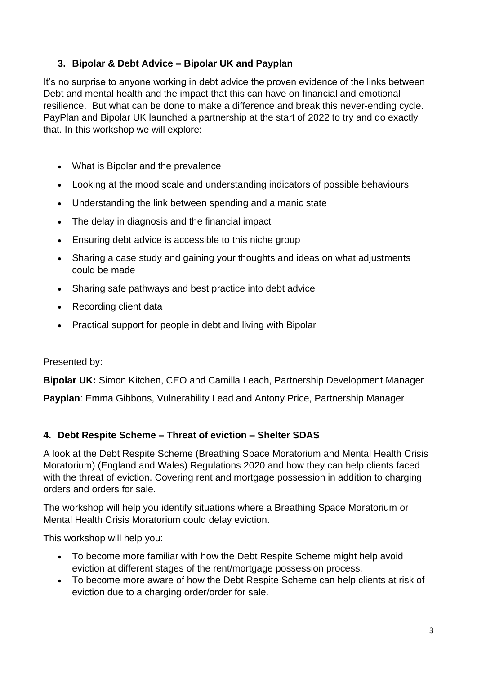# **3. Bipolar & Debt Advice – Bipolar UK and Payplan**

It's no surprise to anyone working in debt advice the proven evidence of the links between Debt and mental health and the impact that this can have on financial and emotional resilience. But what can be done to make a difference and break this never-ending cycle. PayPlan and Bipolar UK launched a partnership at the start of 2022 to try and do exactly that. In this workshop we will explore:

- What is Bipolar and the prevalence
- Looking at the mood scale and understanding indicators of possible behaviours
- Understanding the link between spending and a manic state
- The delay in diagnosis and the financial impact
- Ensuring debt advice is accessible to this niche group
- Sharing a case study and gaining your thoughts and ideas on what adjustments could be made
- Sharing safe pathways and best practice into debt advice
- Recording client data
- Practical support for people in debt and living with Bipolar

#### Presented by:

**Bipolar UK:** Simon Kitchen, CEO and Camilla Leach, Partnership Development Manager

**Payplan**: Emma Gibbons, Vulnerability Lead and Antony Price, Partnership Manager

# **4. Debt Respite Scheme – Threat of eviction – Shelter SDAS**

A look at the Debt Respite Scheme (Breathing Space Moratorium and Mental Health Crisis Moratorium) (England and Wales) Regulations 2020 and how they can help clients faced with the threat of eviction. Covering rent and mortgage possession in addition to charging orders and orders for sale.

The workshop will help you identify situations where a Breathing Space Moratorium or Mental Health Crisis Moratorium could delay eviction.

This workshop will help you:

- To become more familiar with how the Debt Respite Scheme might help avoid eviction at different stages of the rent/mortgage possession process.
- To become more aware of how the Debt Respite Scheme can help clients at risk of eviction due to a charging order/order for sale.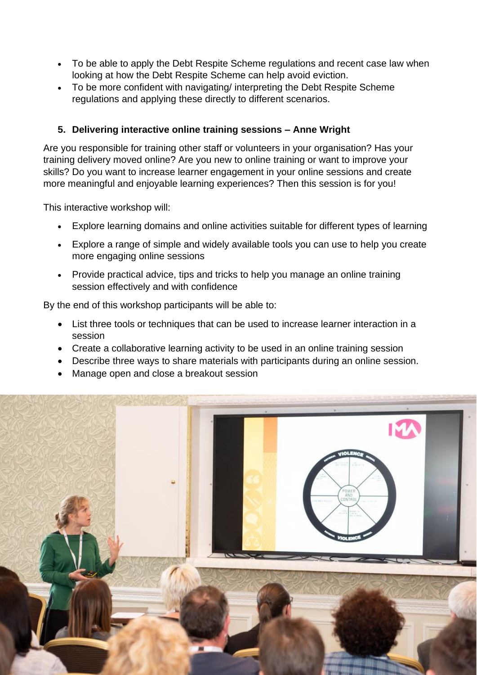- To be able to apply the Debt Respite Scheme regulations and recent case law when looking at how the Debt Respite Scheme can help avoid eviction.
- To be more confident with navigating/ interpreting the Debt Respite Scheme regulations and applying these directly to different scenarios.

# **5. Delivering interactive online training sessions – Anne Wright**

Are you responsible for training other staff or volunteers in your organisation? Has your training delivery moved online? Are you new to online training or want to improve your skills? Do you want to increase learner engagement in your online sessions and create more meaningful and enjoyable learning experiences? Then this session is for you!

This interactive workshop will:

- Explore learning domains and online activities suitable for different types of learning
- Explore a range of simple and widely available tools you can use to help you create more engaging online sessions
- Provide practical advice, tips and tricks to help you manage an online training session effectively and with confidence

By the end of this workshop participants will be able to:

- List three tools or techniques that can be used to increase learner interaction in a session
- Create a collaborative learning activity to be used in an online training session
- Describe three ways to share materials with participants during an online session.
- Manage open and close a breakout session

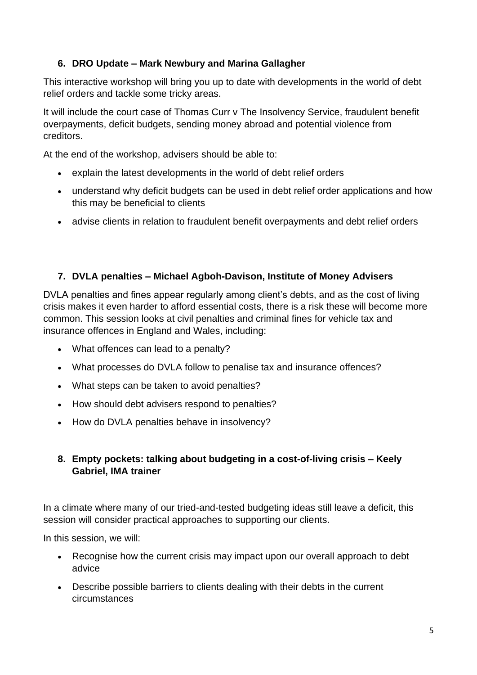# **6. DRO Update – Mark Newbury and Marina Gallagher**

This interactive workshop will bring you up to date with developments in the world of debt relief orders and tackle some tricky areas.

It will include the court case of Thomas Curr v The Insolvency Service, fraudulent benefit overpayments, deficit budgets, sending money abroad and potential violence from creditors.

At the end of the workshop, advisers should be able to:

- explain the latest developments in the world of debt relief orders
- understand why deficit budgets can be used in debt relief order applications and how this may be beneficial to clients
- advise clients in relation to fraudulent benefit overpayments and debt relief orders

#### **7. DVLA penalties – Michael Agboh-Davison, Institute of Money Advisers**

DVLA penalties and fines appear regularly among client's debts, and as the cost of living crisis makes it even harder to afford essential costs, there is a risk these will become more common. This session looks at civil penalties and criminal fines for vehicle tax and insurance offences in England and Wales, including:

- What offences can lead to a penalty?
- What processes do DVLA follow to penalise tax and insurance offences?
- What steps can be taken to avoid penalties?
- How should debt advisers respond to penalties?
- How do DVLA penalties behave in insolvency?

# **8. Empty pockets: talking about budgeting in a cost-of-living crisis – Keely Gabriel, IMA trainer**

In a climate where many of our tried-and-tested budgeting ideas still leave a deficit, this session will consider practical approaches to supporting our clients.

In this session, we will:

- Recognise how the current crisis may impact upon our overall approach to debt advice
- Describe possible barriers to clients dealing with their debts in the current circumstances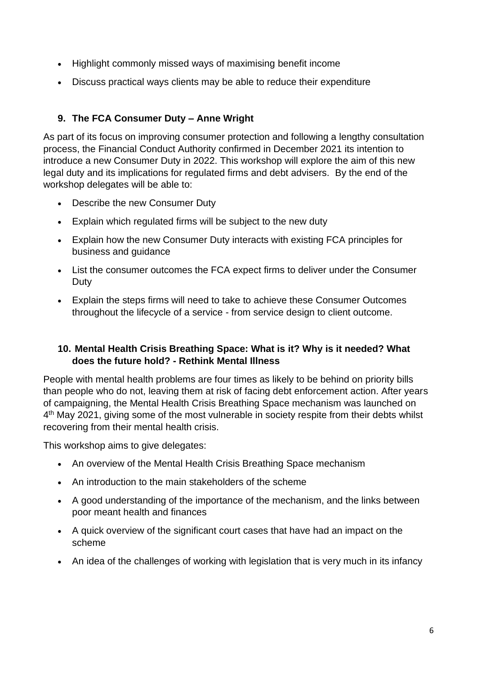- Highlight commonly missed ways of maximising benefit income
- Discuss practical ways clients may be able to reduce their expenditure

# **9. The FCA Consumer Duty – Anne Wright**

As part of its focus on improving consumer protection and following a lengthy consultation process, the Financial Conduct Authority confirmed in December 2021 its intention to introduce a new Consumer Duty in 2022. This workshop will explore the aim of this new legal duty and its implications for regulated firms and debt advisers. By the end of the workshop delegates will be able to:

- Describe the new Consumer Duty
- Explain which regulated firms will be subject to the new duty
- Explain how the new Consumer Duty interacts with existing FCA principles for business and guidance
- List the consumer outcomes the FCA expect firms to deliver under the Consumer Duty
- Explain the steps firms will need to take to achieve these Consumer Outcomes throughout the lifecycle of a service - from service design to client outcome.

#### **10. Mental Health Crisis Breathing Space: What is it? Why is it needed? What does the future hold? - Rethink Mental Illness**

People with mental health problems are four times as likely to be behind on priority bills than people who do not, leaving them at risk of facing debt enforcement action. After years of campaigning, the Mental Health Crisis Breathing Space mechanism was launched on 4<sup>th</sup> May 2021, giving some of the most vulnerable in society respite from their debts whilst recovering from their mental health crisis.

This workshop aims to give delegates:

- An overview of the Mental Health Crisis Breathing Space mechanism
- An introduction to the main stakeholders of the scheme
- A good understanding of the importance of the mechanism, and the links between poor meant health and finances
- A quick overview of the significant court cases that have had an impact on the scheme
- An idea of the challenges of working with legislation that is very much in its infancy